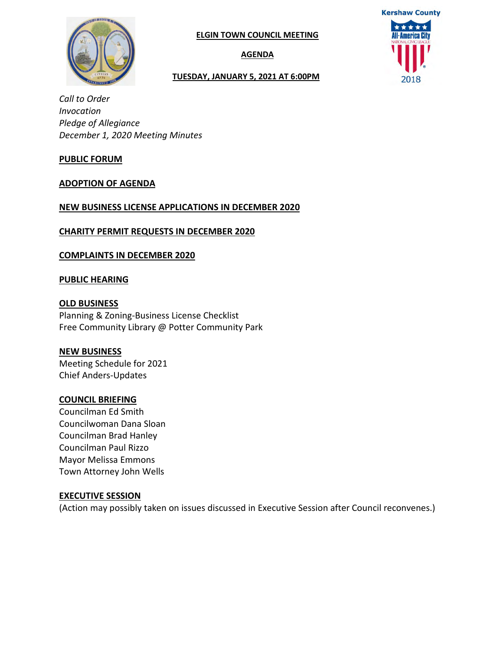

**AGENDA**

#### **TUESDAY, JANUARY 5, 2021 AT 6:00PM**



*Call to Order Invocation Pledge of Allegiance December 1, 2020 Meeting Minutes* 

#### **PUBLIC FORUM**

#### **ADOPTION OF AGENDA**

#### **NEW BUSINESS LICENSE APPLICATIONS IN DECEMBER 2020**

**CHARITY PERMIT REQUESTS IN DECEMBER 2020**

**COMPLAINTS IN DECEMBER 2020**

#### **PUBLIC HEARING**

**OLD BUSINESS** Planning & Zoning-Business License Checklist Free Community Library @ Potter Community Park

#### **NEW BUSINESS**

Meeting Schedule for 2021 Chief Anders-Updates

#### **COUNCIL BRIEFING**

Councilman Ed Smith Councilwoman Dana Sloan Councilman Brad Hanley Councilman Paul Rizzo Mayor Melissa Emmons Town Attorney John Wells

#### **EXECUTIVE SESSION**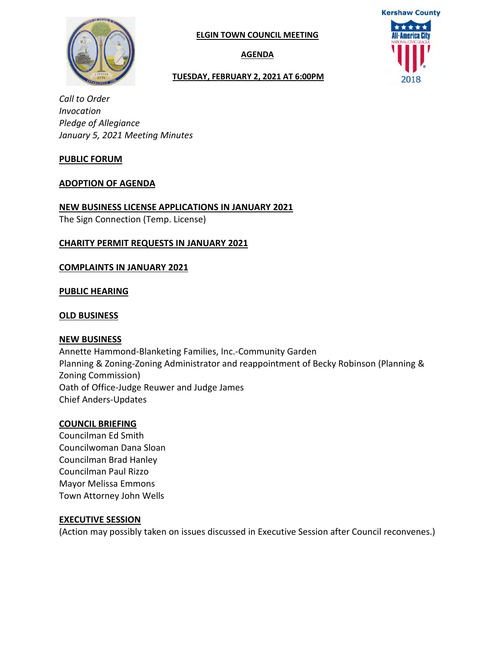

**AGENDA**

# **Kershaw County** All-America City

#### **TUESDAY, FEBRUARY 2, 2021 AT 6:00PM**

*Call to Order Invocation Pledge of Allegiance January 5, 2021 Meeting Minutes* 

#### **PUBLIC FORUM**

#### **ADOPTION OF AGENDA**

#### **NEW BUSINESS LICENSE APPLICATIONS IN JANUARY 2021**

The Sign Connection (Temp. License)

#### **CHARITY PERMIT REQUESTS IN JANUARY 2021**

#### **COMPLAINTS IN JANUARY 2021**

#### **PUBLIC HEARING**

#### **OLD BUSINESS**

#### **NEW BUSINESS**

Annette Hammond-Blanketing Families, Inc.-Community Garden Planning & Zoning-Zoning Administrator and reappointment of Becky Robinson (Planning & Zoning Commission) Oath of Office-Judge Reuwer and Judge James Chief Anders-Updates

#### **COUNCIL BRIEFING**

Councilman Ed Smith Councilwoman Dana Sloan Councilman Brad Hanley Councilman Paul Rizzo Mayor Melissa Emmons Town Attorney John Wells

#### **EXECUTIVE SESSION**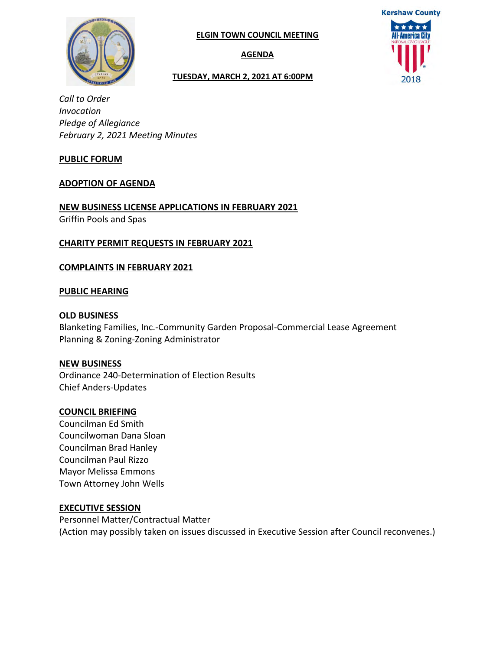

**AGENDA**

#### **TUESDAY, MARCH 2, 2021 AT 6:00PM**



*Call to Order Invocation Pledge of Allegiance February 2, 2021 Meeting Minutes* 

#### **PUBLIC FORUM**

#### **ADOPTION OF AGENDA**

**NEW BUSINESS LICENSE APPLICATIONS IN FEBRUARY 2021**  Griffin Pools and Spas

#### **CHARITY PERMIT REQUESTS IN FEBRUARY 2021**

#### **COMPLAINTS IN FEBRUARY 2021**

#### **PUBLIC HEARING**

#### **OLD BUSINESS**

Blanketing Families, Inc.-Community Garden Proposal-Commercial Lease Agreement Planning & Zoning-Zoning Administrator

#### **NEW BUSINESS**

Ordinance 240-Determination of Election Results Chief Anders-Updates

#### **COUNCIL BRIEFING**

Councilman Ed Smith Councilwoman Dana Sloan Councilman Brad Hanley Councilman Paul Rizzo Mayor Melissa Emmons Town Attorney John Wells

#### **EXECUTIVE SESSION**

Personnel Matter/Contractual Matter (Action may possibly taken on issues discussed in Executive Session after Council reconvenes.)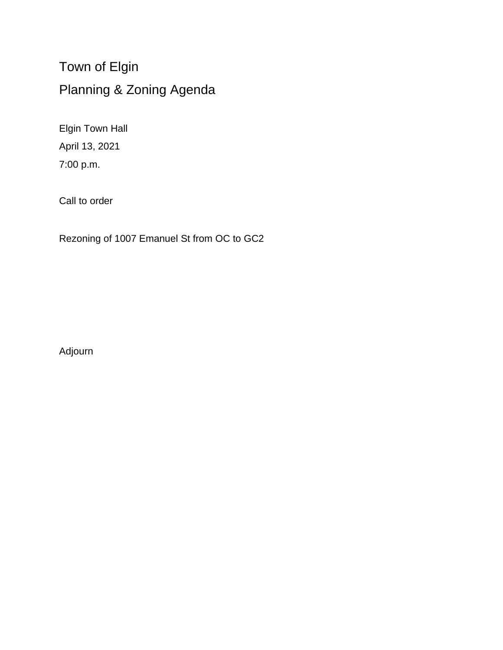Town of Elgin Planning & Zoning Agenda

Elgin Town Hall April 13, 2021 7:00 p.m.

Call to order

Rezoning of 1007 Emanuel St from OC to GC2

Adjourn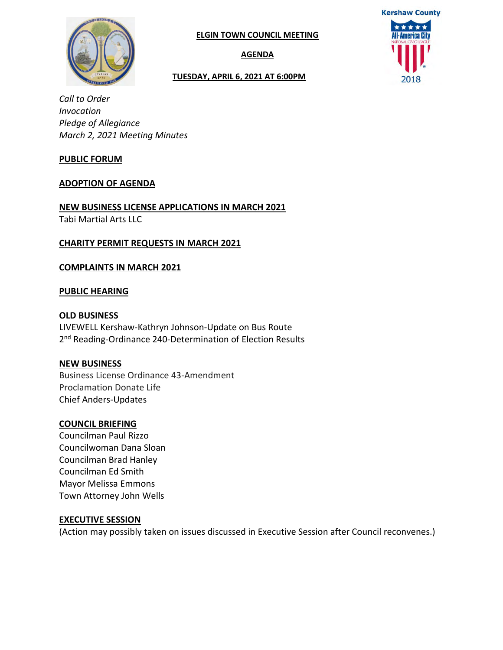

**AGENDA**

#### **TUESDAY, APRIL 6, 2021 AT 6:00PM**



*Call to Order Invocation Pledge of Allegiance March 2, 2021 Meeting Minutes* 

#### **PUBLIC FORUM**

#### **ADOPTION OF AGENDA**

**NEW BUSINESS LICENSE APPLICATIONS IN MARCH 2021**  Tabi Martial Arts LLC

#### **CHARITY PERMIT REQUESTS IN MARCH 2021**

#### **COMPLAINTS IN MARCH 2021**

#### **PUBLIC HEARING**

#### **OLD BUSINESS**

LIVEWELL Kershaw-Kathryn Johnson-Update on Bus Route 2<sup>nd</sup> Reading-Ordinance 240-Determination of Election Results

#### **NEW BUSINESS**

Business License Ordinance 43-Amendment Proclamation Donate Life Chief Anders-Updates

#### **COUNCIL BRIEFING**

Councilman Paul Rizzo Councilwoman Dana Sloan Councilman Brad Hanley Councilman Ed Smith Mayor Melissa Emmons Town Attorney John Wells

#### **EXECUTIVE SESSION**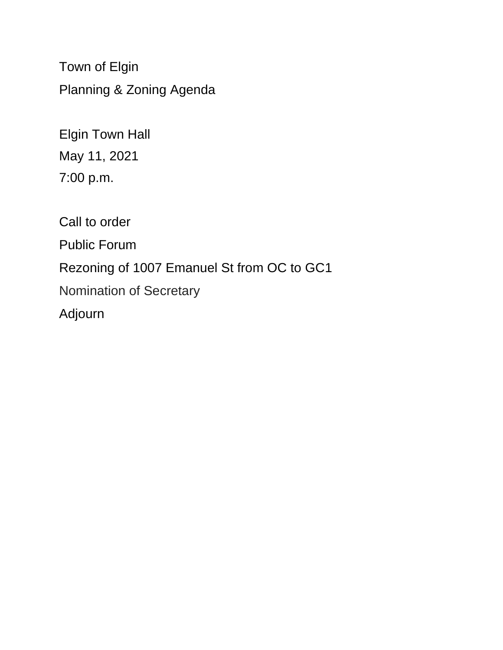Town of Elgin Planning & Zoning Agenda

Elgin Town Hall May 11, 2021 7:00 p.m.

Call to order Public Forum Rezoning of 1007 Emanuel St from OC to GC1 Nomination of Secretary Adjourn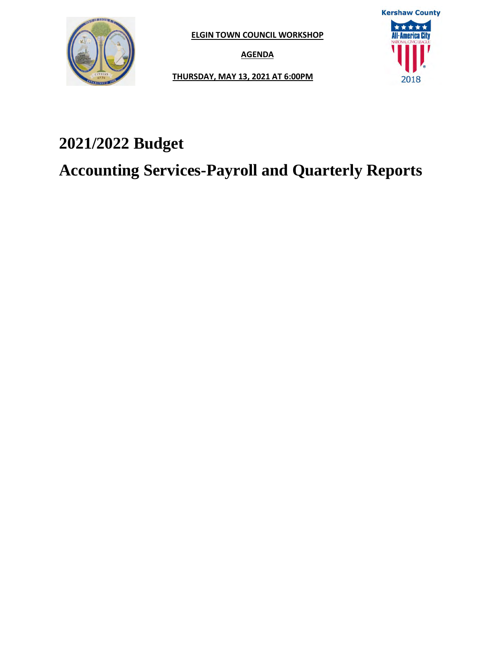

**ELGIN TOWN COUNCIL WORKSHOP**

**AGENDA**

**Kershaw County** \*\*\*\*\* **All-America City** 2018

**THURSDAY, MAY 13, 2021 AT 6:00PM**

## **2021/2022 Budget**

**Accounting Services-Payroll and Quarterly Reports**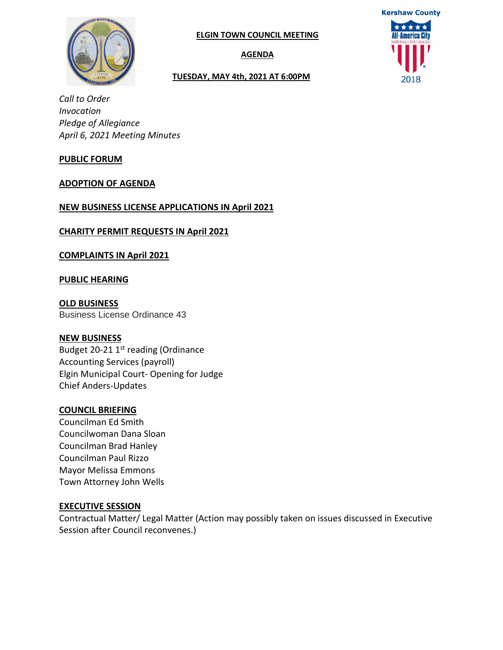

**AGENDA**

#### **TUESDAY, MAY 4th, 2021 AT 6:00PM**



*Call to Order Invocation Pledge of Allegiance April 6, 2021 Meeting Minutes* 

#### **PUBLIC FORUM**

#### **ADOPTION OF AGENDA**

#### **NEW BUSINESS LICENSE APPLICATIONS IN April 2021**

**CHARITY PERMIT REQUESTS IN April 2021** 

**COMPLAINTS IN April 2021** 

#### **PUBLIC HEARING**

**OLD BUSINESS** Business License Ordinance 43

#### **NEW BUSINESS**

Budget 20-21 1<sup>st</sup> reading (Ordinance Accounting Services (payroll) Elgin Municipal Court- Opening for Judge Chief Anders-Updates

#### **COUNCIL BRIEFING**

Councilman Ed Smith Councilwoman Dana Sloan Councilman Brad Hanley Councilman Paul Rizzo Mayor Melissa Emmons Town Attorney John Wells

#### **EXECUTIVE SESSION**

Contractual Matter/ Legal Matter (Action may possibly taken on issues discussed in Executive Session after Council reconvenes.)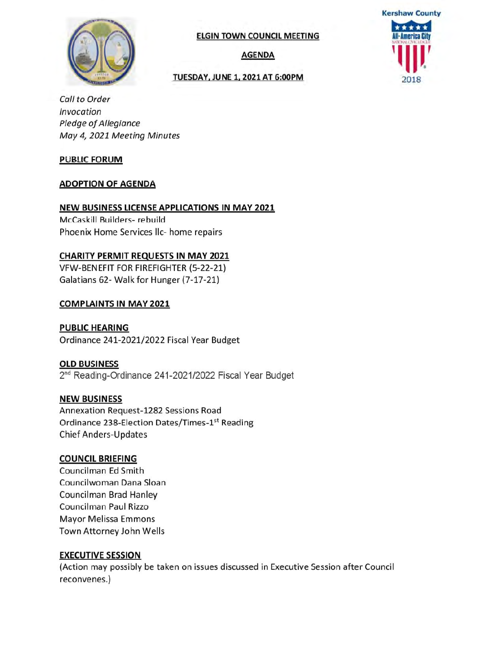

**AGENDA** 

#### **TUESDAY, JUNE 1, 2021 AT 6:00PM**



Call to Order Invocation Pledge of Allegiance May 4, 2021 Meeting Minutes

#### **PUBLIC FORUM**

#### **ADOPTION OF AGENDA**

#### NEW BUSINESS LICENSE APPLICATIONS IN MAY 2021

McCaskill Builders- rebuild Phoenix Home Services IIc- home repairs

#### **CHARITY PERMIT REQUESTS IN MAY 2021**

VFW-BENEFIT FOR FIREFIGHTER (5-22-21) Galatians 62- Walk for Hunger (7-17-21)

#### **COMPLAINTS IN MAY 2021**

**PUBLIC HEARING** Ordinance 241-2021/2022 Fiscal Year Budget

#### **OLD BUSINESS**

2<sup>nd</sup> Reading-Ordinance 241-2021/2022 Fiscal Year Budget

#### **NEW BUSINESS**

Annexation Request-1282 Sessions Road Ordinance 238-Election Dates/Times-1st Reading **Chief Anders-Updates** 

#### **COUNCIL BRIEFING**

Councilman Ed Smith Councilwoman Dana Sloan **Councilman Brad Hanley** Councilman Paul Rizzo **Mayor Melissa Emmons** Town Attorney John Wells

#### **EXECUTIVE SESSION**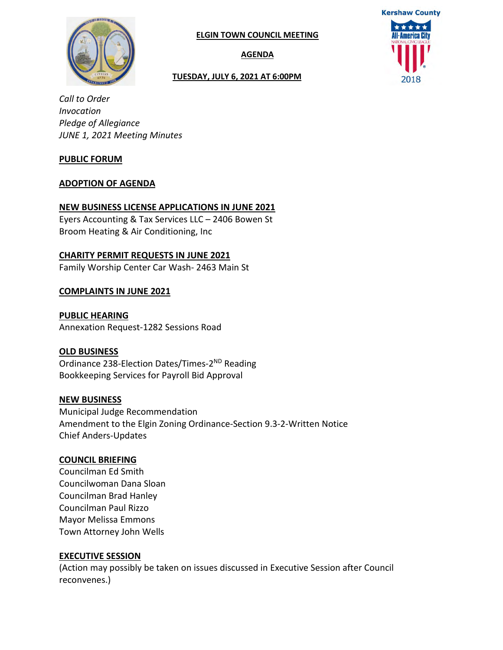

**AGENDA**

#### **TUESDAY, JULY 6, 2021 AT 6:00PM**



*Call to Order Invocation Pledge of Allegiance JUNE 1, 2021 Meeting Minutes* 

#### **PUBLIC FORUM**

#### **ADOPTION OF AGENDA**

#### **NEW BUSINESS LICENSE APPLICATIONS IN JUNE 2021**

Eyers Accounting & Tax Services LLC – 2406 Bowen St Broom Heating & Air Conditioning, Inc

#### **CHARITY PERMIT REQUESTS IN JUNE 2021**

Family Worship Center Car Wash- 2463 Main St

#### **COMPLAINTS IN JUNE 2021**

**PUBLIC HEARING** Annexation Request-1282 Sessions Road

#### **OLD BUSINESS**

Ordinance 238-Election Dates/Times-2ND Reading Bookkeeping Services for Payroll Bid Approval

#### **NEW BUSINESS**

Municipal Judge Recommendation Amendment to the Elgin Zoning Ordinance-Section 9.3-2-Written Notice Chief Anders-Updates

#### **COUNCIL BRIEFING**

Councilman Ed Smith Councilwoman Dana Sloan Councilman Brad Hanley Councilman Paul Rizzo Mayor Melissa Emmons Town Attorney John Wells

#### **EXECUTIVE SESSION**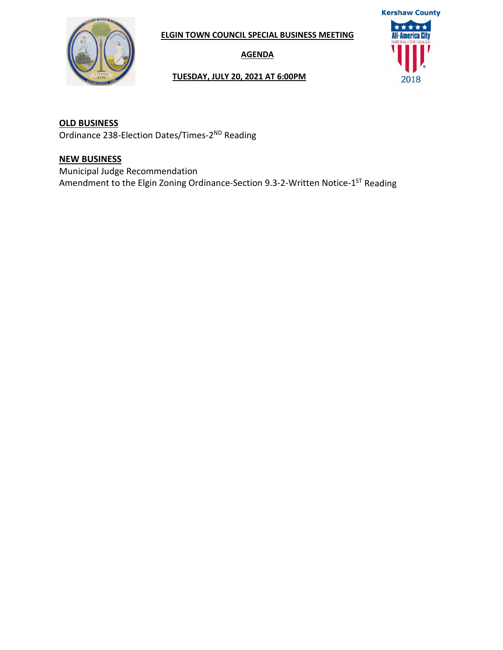

**ELGIN TOWN COUNCIL SPECIAL BUSINESS MEETING**

**AGENDA**

## **Kershaw County** \*\*\*\*\* **All-America City** 2018

#### **TUESDAY, JULY 20, 2021 AT 6:00PM**

**OLD BUSINESS** Ordinance 238-Election Dates/Times-2ND Reading

#### **NEW BUSINESS**

Municipal Judge Recommendation Amendment to the Elgin Zoning Ordinance-Section 9.3-2-Written Notice-1ST Reading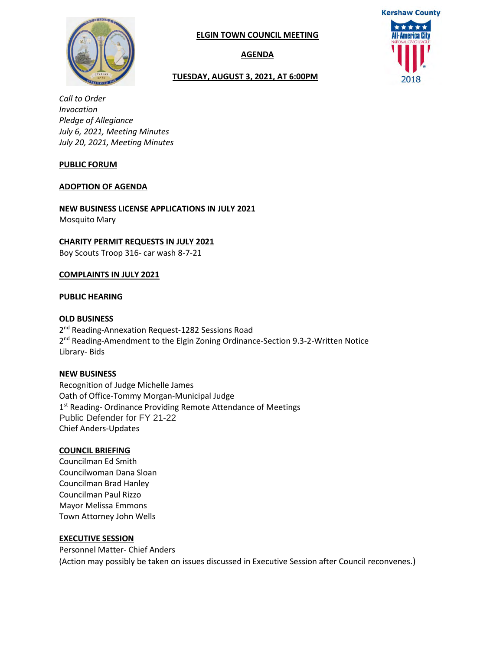

**AGENDA**

#### **TUESDAY, AUGUST 3, 2021, AT 6:00PM**



*Call to Order Invocation Pledge of Allegiance July 6, 2021, Meeting Minutes July 20, 2021, Meeting Minutes*

#### **PUBLIC FORUM**

#### **ADOPTION OF AGENDA**

#### **NEW BUSINESS LICENSE APPLICATIONS IN JULY 2021**

Mosquito Mary

#### **CHARITY PERMIT REQUESTS IN JULY 2021**

Boy Scouts Troop 316- car wash 8-7-21

#### **COMPLAINTS IN JULY 2021**

#### **PUBLIC HEARING**

#### **OLD BUSINESS**

2<sup>nd</sup> Reading-Annexation Request-1282 Sessions Road 2<sup>nd</sup> Reading-Amendment to the Elgin Zoning Ordinance-Section 9.3-2-Written Notice Library- Bids

#### **NEW BUSINESS**

Recognition of Judge Michelle James Oath of Office-Tommy Morgan-Municipal Judge 1<sup>st</sup> Reading- Ordinance Providing Remote Attendance of Meetings Public Defender for FY 21-22 Chief Anders-Updates

#### **COUNCIL BRIEFING**

Councilman Ed Smith Councilwoman Dana Sloan Councilman Brad Hanley Councilman Paul Rizzo Mayor Melissa Emmons Town Attorney John Wells

#### **EXECUTIVE SESSION**

Personnel Matter- Chief Anders (Action may possibly be taken on issues discussed in Executive Session after Council reconvenes.)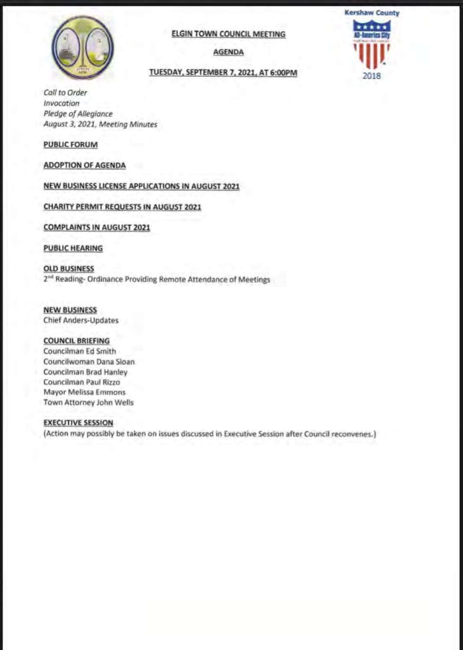

**AGENDA** 

### TUESDAY, SEPTEMBER 7, 2021, AT 6:00PM



Call to Order Invocation Pledge of Allegiance August 3, 2021, Meeting Minutes

#### **PUBLIC FORUM**

**ADOPTION OF AGENDA** 

#### **NEW BUSINESS LICENSE APPLICATIONS IN AUGUST 2021**

#### **CHARITY PERMIT REQUESTS IN AUGUST 2021**

#### **COMPLAINTS IN AUGUST 2021**

#### **PUBLIC HEARING**

**OLD BUSINESS** 2<sup>nd</sup> Reading- Ordinance Providing Remote Attendance of Meetings

#### **NEW BUSINESS**

**Chief Anders-Updates** 

#### **COUNCIL BRIEFING**

Councilman Ed Smith Councilwoman Dana Sloan Councilman Brad Hanley Councilman Paul Rizzo Mayor Melissa Emmons Town Attorney John Wells

#### **EXECUTIVE SESSION**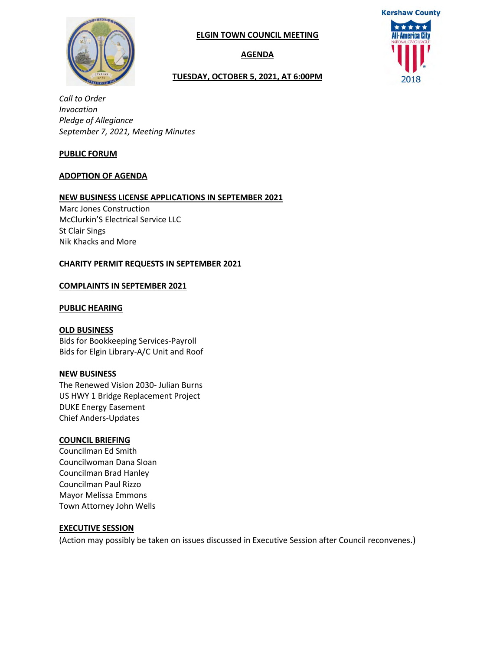

#### **AGENDA**

#### **TUESDAY, OCTOBER 5, 2021, AT 6:00PM**



*Call to Order Invocation Pledge of Allegiance September 7, 2021, Meeting Minutes* 

#### **PUBLIC FORUM**

#### **ADOPTION OF AGENDA**

#### **NEW BUSINESS LICENSE APPLICATIONS IN SEPTEMBER 2021**

Marc Jones Construction McClurkin'S Electrical Service LLC St Clair Sings Nik Khacks and More

#### **CHARITY PERMIT REQUESTS IN SEPTEMBER 2021**

#### **COMPLAINTS IN SEPTEMBER 2021**

#### **PUBLIC HEARING**

#### **OLD BUSINESS**

Bids for Bookkeeping Services-Payroll Bids for Elgin Library-A/C Unit and Roof

#### **NEW BUSINESS**

The Renewed Vision 2030- Julian Burns US HWY 1 Bridge Replacement Project DUKE Energy Easement Chief Anders-Updates

#### **COUNCIL BRIEFING**

Councilman Ed Smith Councilwoman Dana Sloan Councilman Brad Hanley Councilman Paul Rizzo Mayor Melissa Emmons Town Attorney John Wells

#### **EXECUTIVE SESSION**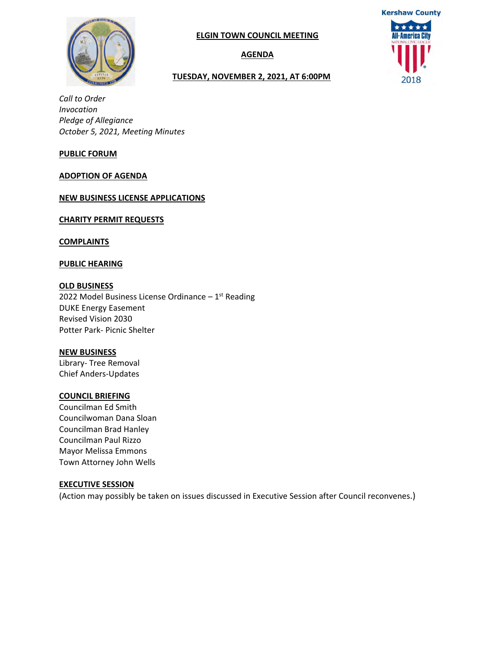

#### **AGENDA**



#### **TUESDAY, NOVEMBER 2, 2021, AT 6:00PM**

*Call to Order Invocation Pledge of Allegiance October 5, 2021, Meeting Minutes* 

#### **PUBLIC FORUM**

#### **ADOPTION OF AGENDA**

**NEW BUSINESS LICENSE APPLICATIONS** 

**CHARITY PERMIT REQUESTS** 

**COMPLAINTS** 

**PUBLIC HEARING**

#### **OLD BUSINESS**

2022 Model Business License Ordinance  $-1<sup>st</sup>$  Reading DUKE Energy Easement Revised Vision 2030 Potter Park‐ Picnic Shelter

#### **NEW BUSINESS**

Library‐ Tree Removal Chief Anders‐Updates

#### **COUNCIL BRIEFING**

Councilman Ed Smith Councilwoman Dana Sloan Councilman Brad Hanley Councilman Paul Rizzo Mayor Melissa Emmons Town Attorney John Wells

#### **EXECUTIVE SESSION**